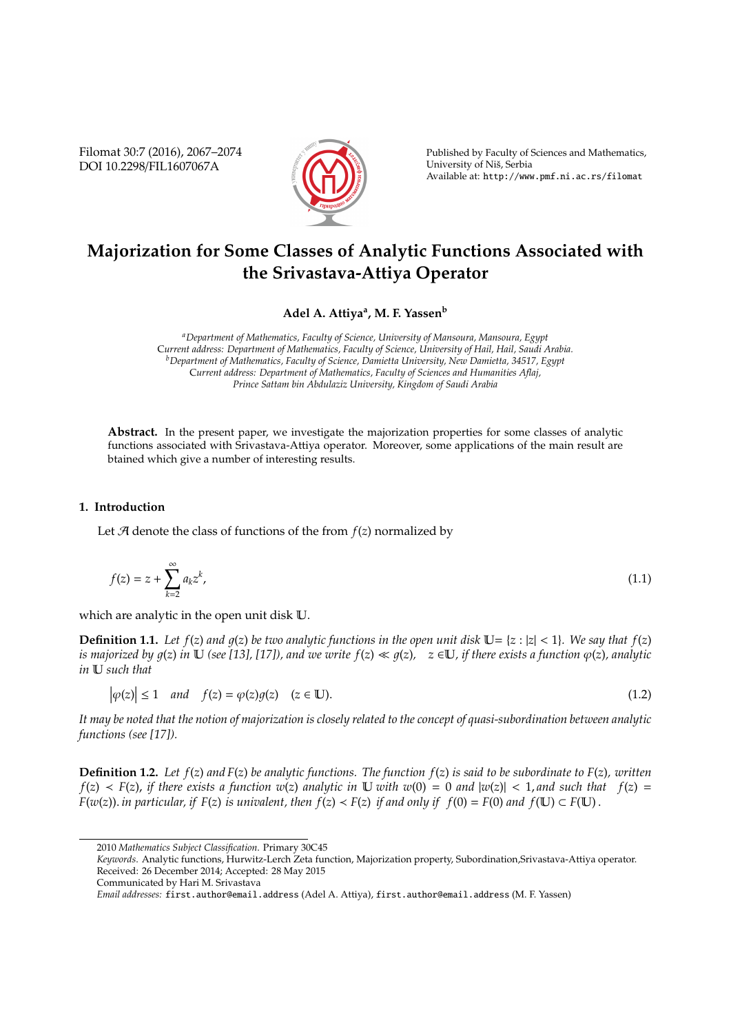Filomat 30:7 (2016), 2067–2074 DOI 10.2298/FIL1607067A



Published by Faculty of Sciences and Mathematics, University of Niš, Serbia Available at: http://www.pmf.ni.ac.rs/filomat

## **Majorization for Some Classes of Analytic Functions Associated with the Srivastava-Attiya Operator**

**Adel A. Attiya<sup>a</sup> , M. F. Yassen<sup>b</sup>**

*<sup>a</sup>Department of Mathematics, Faculty of Science, University of Mansoura, Mansoura, Egypt* C*urrent address: Department of Mathematics, Faculty of Science, University of Hail, Hail, Saudi Arabia. <sup>b</sup>Department of Mathematics, Faculty of Science, Damietta University, New Damietta, 34517, Egypt* C*urrent address: Department of Mathematics, Faculty of Sciences and Humanities Aflaj, Prince Sattam bin Abdulaziz University, Kingdom of Saudi Arabia*

Abstract. In the present paper, we investigate the majorization properties for some classes of analytic functions associated with Srivastava-Attiya operator. Moreover, some applications of the main result are btained which give a number of interesting results.

## **1. Introduction**

Let  $A$  denote the class of functions of the from  $f(z)$  normalized by

$$
f(z) = z + \sum_{k=2}^{\infty} a_k z^k,
$$
\n(1.1)

which are analytic in the open unit disk U.

**Definition 1.1.** Let  $f(z)$  and  $g(z)$  be two analytic functions in the open unit disk  $\mathbb{U} = \{z : |z| < 1\}$ *. We say that*  $f(z)$ *is majorized by*  $q(z)$  *in* U (see [13], [17]), and we write  $f(z) \ll q(z)$ ,  $z \in U$ , *if there exists a function*  $\varphi(z)$ , analytic *in* U *such that*

$$
\left|\varphi(z)\right| \le 1 \quad \text{and} \quad f(z) = \varphi(z)g(z) \quad (z \in \mathbb{U}).\tag{1.2}
$$

*It may be noted that the notion of majorization is closely related to the concept of quasi-subordination between analytic functions (see [17]).*

**Definition 1.2.** *Let f*(*z*) *and F*(*z*) *be analytic functions. The function f*(*z*) *is said to be subordinate to F*(*z*)*, written*  $f(z) \leq F(z)$ , *if there exists a function w*(*z*) *analytic in* U *with w*(0) = 0 *and*  $|w(z)| \leq 1$ , *and such that*  $f(z)$  = *F*(*w*(*z*)). *in particular, if F*(*z*) *is univalent, then*  $f(z) < F(z)$  *if and only if*  $f(0) = F(0)$  *and*  $f(\mathbb{U}) \subset F(\mathbb{U})$ .

<sup>2010</sup> *Mathematics Subject Classification*. Primary 30C45

*Keywords*. Analytic functions, Hurwitz-Lerch Zeta function, Majorization property, Subordination,Srivastava-Attiya operator. Received: 26 December 2014; Accepted: 28 May 2015

Communicated by Hari M. Srivastava

*Email addresses:* first.author@email.address (Adel A. Attiya), first.author@email.address (M. F. Yassen)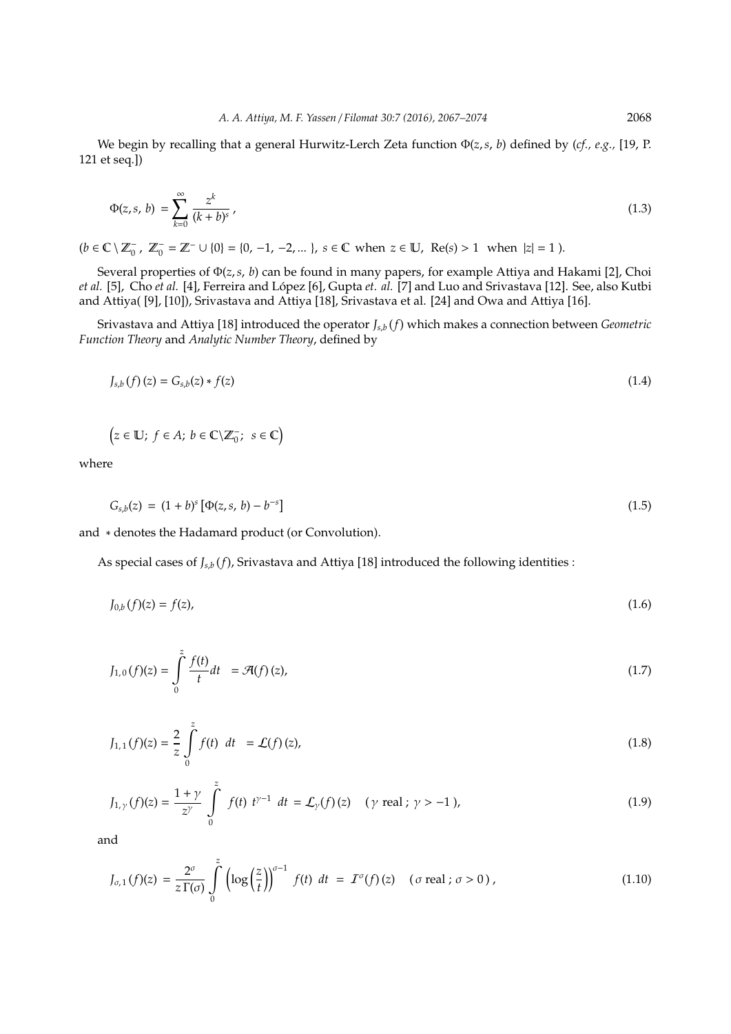We begin by recalling that a general Hurwitz-Lerch Zeta function Φ(*z*,*s*, *b*) defined by (*cf., e.g.,* [19, P. 121 et seq.])

$$
\Phi(z,s,b) = \sum_{k=0}^{\infty} \frac{z^k}{(k+b)^s} \,,\tag{1.3}
$$

 $(b \in \mathbb{C} \setminus \mathbb{Z}_0^ \mathbb{Z}_0^-$ ,  $\mathbb{Z}_0^-$  =  $\mathbb{Z}^-$  ∪ {0} = {0, -1, -2, ... }, *s* ∈ **C** when  $z$  ∈ **U**, Re(*s*) > 1 when  $|z|$  = 1).

Several properties of Φ(*z*,*s*, *b*) can be found in many papers, for example Attiya and Hakami [2], Choi *et al.* [5], Cho *et al.* [4], Ferreira and López [6], Gupta *et. al.* [7] and Luo and Srivastava [12]. See, also Kutbi and Attiya( [9], [10]), Srivastava and Attiya [18], Srivastava et al. [24] and Owa and Attiya [16].

Srivastava and Attiya [18] introduced the operator *Js*,*<sup>b</sup>* (*f*) which makes a connection between *Geometric Function Theory* and *Analytic Number Theory*, defined by

$$
J_{s,b}(f)(z) = G_{s,b}(z) * f(z)
$$
\n(1.4)

$$
(z \in \mathbb{U}; f \in A; b \in \mathbb{C} \backslash \mathbb{Z}_0^-; s \in \mathbb{C})
$$

where

$$
G_{s,b}(z) = (1+b)^s \left[ \Phi(z,s,b) - b^{-s} \right] \tag{1.5}
$$

and ∗ denotes the Hadamard product (or Convolution).

As special cases of *Js*,*<sup>b</sup>* (*f*), Srivastava and Attiya [18] introduced the following identities :

$$
J_{0,b}(f)(z) = f(z),
$$
\n(1.6)

$$
J_{1,0}(f)(z) = \int_{0}^{z} \frac{f(t)}{t} dt = \mathcal{A}(f)(z),
$$
\n(1.7)

$$
J_{1,1}(f)(z) = \frac{2}{z} \int_{0}^{z} f(t) dt = \mathcal{L}(f)(z),
$$
\n(1.8)

$$
J_{1,\gamma}(f)(z) = \frac{1+\gamma}{z^{\gamma}} \int_{0}^{z} f(t) t^{\gamma-1} dt = \mathcal{L}_{\gamma}(f)(z) \quad (\gamma \text{ real } ; \gamma > -1), \tag{1.9}
$$

and

$$
J_{\sigma,1}(f)(z) = \frac{2^{\sigma}}{z \Gamma(\sigma)} \int_{0}^{z} \left( \log \left( \frac{z}{t} \right) \right)^{\sigma-1} f(t) \, dt = I^{\sigma}(f)(z) \quad (\sigma \text{ real } ; \sigma > 0), \tag{1.10}
$$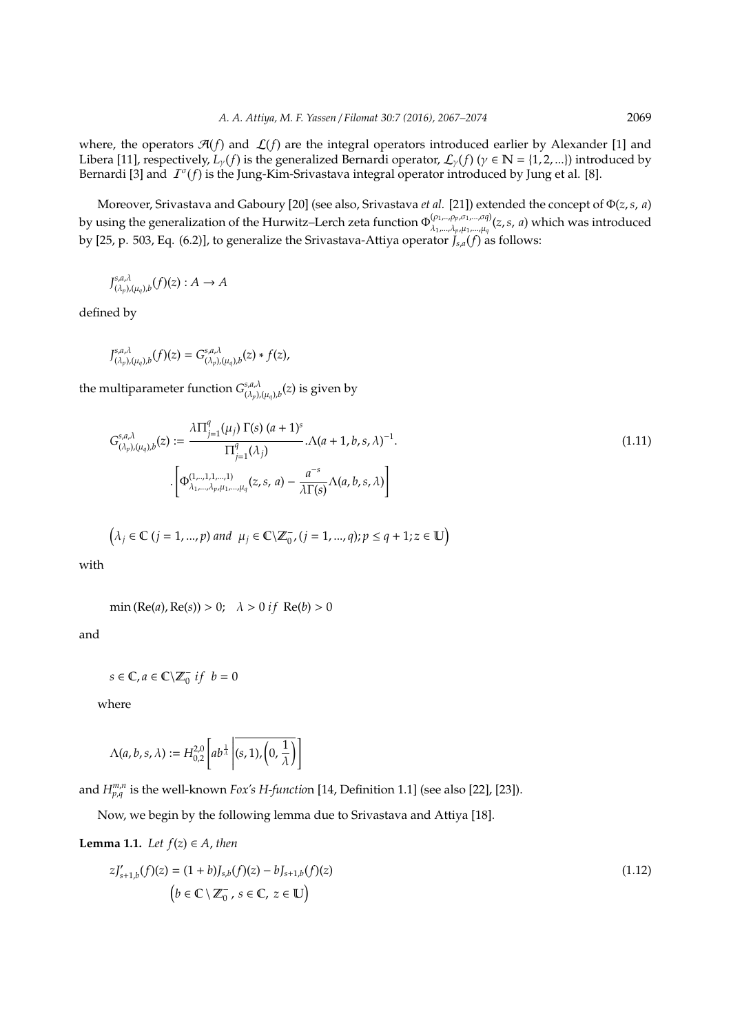where, the operators  $\mathcal{A}(f)$  and  $\mathcal{L}(f)$  are the integral operators introduced earlier by Alexander [1] and Libera [11], respectively,  $L_{\nu}(f)$  is the generalized Bernardi operator,  $\mathcal{L}_{\nu}(f)$  ( $\gamma \in \mathbb{N} = \{1, 2, ...\}$ ) introduced by Bernardi [3] and  $I^{\sigma}(f)$  is the Jung-Kim-Srivastava integral operator introduced by Jung et al. [8].

Moreover, Srivastava and Gaboury [20] (see also, Srivastava *et al.* [21]) extended the concept of Φ(*z*,*s*, *a*) by using the generalization of the Hurwitz–Lerch zeta function Φ (ρ1,..,ρ*p*,σ1,...,σ*q*) λ1,...,λ*p*,µ1,...,µ*<sup>q</sup>* (*z*,*s*, *a*) which was introduced by [25, p. 503, Eq. (6.2)], to generalize the Srivastava-Attiya operator *Js*,*a*(*f*) as follows:

$$
J_{(\lambda_p),(\mu_q),b}^{s,a,\lambda}(f)(z):A\to A
$$

defined by

$$
J_{(\lambda_p),(\mu_q),b}^{s,a,\lambda}(f)(z) = G_{(\lambda_p),(\mu_q),b}^{s,a,\lambda}(z) * f(z),
$$

the multiparameter function  $G^{s,a,\lambda}_{(\lambda,a)}$  $^{s,a,\lambda}_{(\lambda_p),(\mu_q),b}(z)$  is given by

$$
G_{(\lambda_p),(\mu_q),b}^{s,a,\lambda}(z) := \frac{\lambda \prod_{j=1}^q (\mu_j) \Gamma(s) (a+1)^s}{\Pi_{j=1}^q (\lambda_j)} \cdot \Lambda(a+1,b,s,\lambda)^{-1}.
$$
\n
$$
\cdot \left[ \Phi_{\lambda_1,\dots,\lambda_p,\mu_1,\dots,\mu_q}^{(1,\dots,1,1,\dots,1)}(z,s,a) - \frac{a^{-s}}{\lambda \Gamma(s)} \Lambda(a,b,s,\lambda) \right]
$$
\n(1.11)

$$
\left(\lambda_j \in \mathbb{C} \ (j=1,...,p) \ and \ \mu_j \in \mathbb{C} \setminus \mathbb{Z}_0^-, (j=1,...,q); p \leq q+1; z \in \mathbb{U}\right)
$$

with

$$
\min(\text{Re}(a), \text{Re}(s)) > 0; \quad \lambda > 0 \text{ if } \text{Re}(b) > 0
$$

and

$$
s \in \mathbb{C}, a \in \mathbb{C} \backslash \mathbb{Z}_0^- \; if \; b = 0
$$

where

$$
\Lambda(a,b,s,\lambda) := H_{0,2}^{2,0}\left[ab^{\frac{1}{\lambda}}\left|(\mathbf{s},1),\left(0,\frac{1}{\lambda}\right)\right|\right]
$$

and  $H_{p,q}^{m,n}$  is the well-known *Fox's H-functio*n [14, Definition 1.1] (see also [22], [23]).

Now, we begin by the following lemma due to Srivastava and Attiya [18].

**Lemma 1.1.** *Let*  $f(z) \in A$ *, then* 

$$
zJ'_{s+1,b}(f)(z) = (1+b)J_{s,b}(f)(z) - bJ_{s+1,b}(f)(z)
$$
  
\n
$$
(b \in \mathbb{C} \setminus \mathbb{Z}_0^-, s \in \mathbb{C}, z \in \mathbb{U})
$$
 (1.12)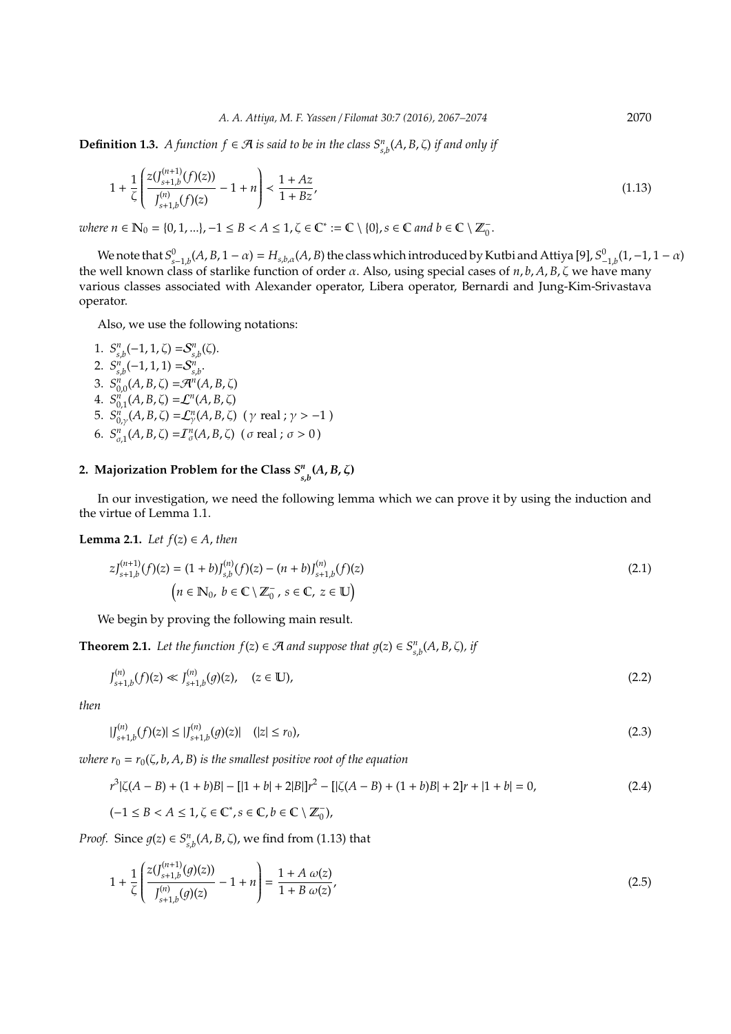**Definition 1.3.** *A function*  $f \in \mathcal{A}$  *is said to be in the class*  $S_{s,b}^n(A, B, \zeta)$  *if and only if* 

$$
1 + \frac{1}{\zeta} \left( \frac{z(J_{s+1,b}^{(n+1)}(f)(z))}{J_{s+1,b}^{(n)}(f)(z)} - 1 + n \right) < \frac{1 + Az}{1 + Bz},
$$
\n(1.13)

 $where n \in \mathbb{N}_0 = \{0, 1, ...\}, -1 \le B < A \le 1, \zeta \in \mathbb{C}^* := \mathbb{C} \setminus \{0\}, s \in \mathbb{C} \text{ and } b \in \mathbb{C} \setminus \mathbb{Z}_0^-.$ 

We note that  $S^0_{s-1,b}(A,B,1-\alpha)=H_{s,b,\alpha}(A,B)$  the class which introduced by Kutbi and Attiya [9],  $S^0_{-1,b}(1,-1,1-\alpha)$ the well known class of starlike function of order  $\alpha$ . Also, using special cases of  $n, b, A, B, \zeta$  we have many various classes associated with Alexander operator, Libera operator, Bernardi and Jung-Kim-Srivastava operator.

Also, we use the following notations:

1.  $S_{s,b}^n(-1,1,\zeta) = S_{s,b}^n(\zeta)$ . 2.  $S_{s,b}^n(-1,1,1) = S_{s,b}^n$ . 3.  $S_{0,0}^{n}(A, B, \zeta) = \mathcal{A}^{n}(A, B, \zeta)$ 4.  $S_{0,1}^n(A, B, \zeta) = \mathcal{L}^n(A, B, \zeta)$ 5.  $S^{n'}_{0,\gamma}(A, B, \zeta) = \mathcal{L}^{n}_{\gamma}(A, B, \zeta)$  (γ real; γ > -1) 6.  $S_{\sigma,1}^n(A, B, \zeta) = I_{\sigma}^n(A, B, \zeta)$  (*σ* real; *σ* > 0)

## **2. Majorization Problem for the Class** *S n s*,*b* **(***A*, *B*, ζ**)**

In our investigation, we need the following lemma which we can prove it by using the induction and the virtue of Lemma 1.1.

**Lemma 2.1.** *Let*  $f(z) \in A$ *, then* 

$$
zJ_{s+1,b}^{(n+1)}(f)(z) = (1+b)J_{s,b}^{(n)}(f)(z) - (n+b)J_{s+1,b}^{(n)}(f)(z)
$$
  
\n
$$
(n \in \mathbb{N}_0, b \in \mathbb{C} \setminus \mathbb{Z}_0^-, s \in \mathbb{C}, z \in \mathbb{U}
$$
 (2.1)

We begin by proving the following main result.

**Theorem 2.1.** *Let the function*  $f(z) \in \mathcal{A}$  *and suppose that*  $g(z) \in S_{s,b}^n(A, B, \zeta)$ *, if* 

$$
J_{s+1,b}^{(n)}(f)(z) \ll J_{s+1,b}^{(n)}(g)(z), \quad (z \in \mathbb{U}), \tag{2.2}
$$

*then*

$$
|J_{s+1,b}^{(n)}(f)(z)| \le |J_{s+1,b}^{(n)}(g)(z)| \quad (|z| \le r_0),
$$
\n(2.3)

*where*  $r_0 = r_0(\zeta, b, A, B)$  *is the smallest positive root of the equation* 

$$
r^{3}|\zeta(A-B)+(1+b)B| - [|1+b|+2|B|]r^{2} - [|\zeta(A-B)+(1+b)B| + 2]r + |1+b| = 0,
$$
\n(2.4)

 $(-1 \leq B < A \leq 1, \zeta \in \mathbb{C}^*, s \in \mathbb{C}, b \in \mathbb{C} \setminus \mathbb{Z}_0^ _{0}^{-}$ ),

*Proof.* Since  $g(z) \in S_{s,b}^n(A, B, \zeta)$ , we find from (1.13) that

$$
1 + \frac{1}{\zeta} \left( \frac{z(J_{s+1,b}^{(n+1)}(g)(z))}{J_{s+1,b}^{(n)}(g)(z)} - 1 + n \right) = \frac{1 + A \omega(z)}{1 + B \omega(z)},
$$
\n(2.5)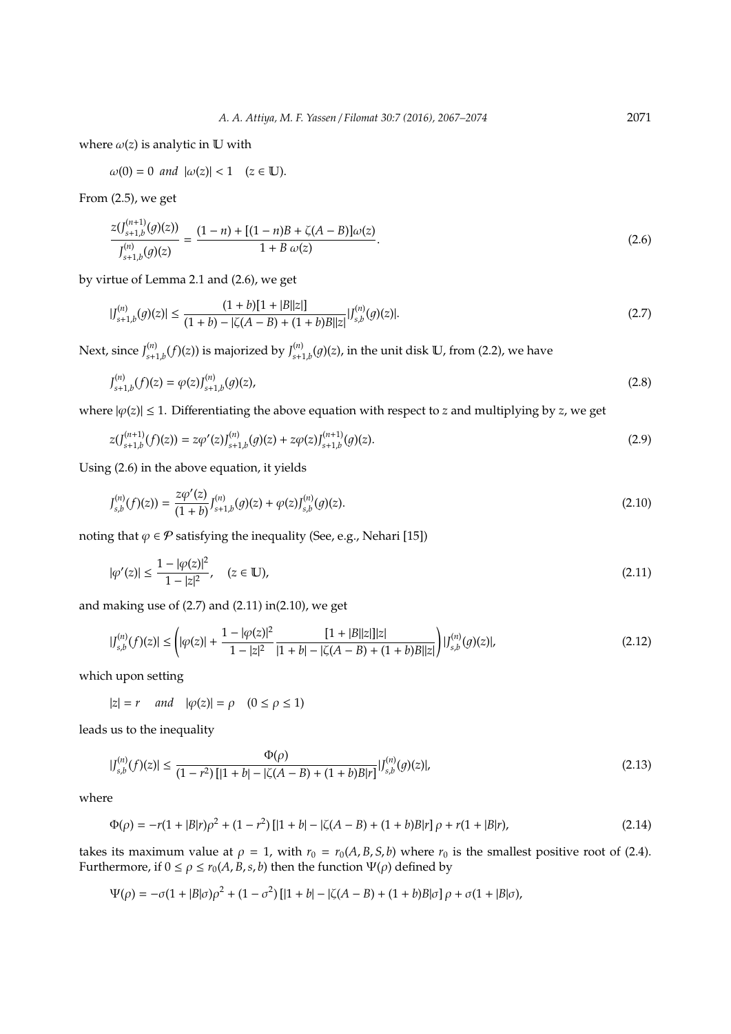where  $\omega(z)$  is analytic in U with

$$
\omega(0)=0 \ and \ |\omega(z)|<1 \quad (z\in \mathbb{U}).
$$

From (2.5), we get

$$
\frac{z(J_{s+1,b}^{(n+1)}(g)(z))}{J_{s+1,b}^{(n)}(g)(z)} = \frac{(1-n) + [(1-n)B + \zeta(A-B)]\omega(z)}{1 + B\omega(z)}.
$$
\n(2.6)

by virtue of Lemma 2.1 and (2.6), we get

$$
|J_{s+1,b}^{(n)}(g)(z)| \le \frac{(1+b)[1+|B||z|]}{(1+b)-|\zeta(A-B)+(1+b)B||z|} |J_{s,b}^{(n)}(g)(z)|.
$$
\n(2.7)

Next, since *J* (*n*)  $\int_{s+1,b}^{(n)}(f)(z))$  is majorized by  $\int_{s+1,b}^{(n)}(f)(z)$  $\int_{s+1,b}^{(n)}(g)(z)$ , in the unit disk  $\mathbb{U}$ , from (2.2), we have

$$
J_{s+1,b}^{(n)}(f)(z) = \varphi(z)J_{s+1,b}^{(n)}(g)(z),
$$
\n(2.8)

where  $|\varphi(z)| \leq 1$ . Differentiating the above equation with respect to *z* and multiplying by *z*, we get

$$
z(J_{s+1,b}^{(n+1)}(f)(z)) = z\varphi'(z)J_{s+1,b}^{(n)}(g)(z) + z\varphi(z)J_{s+1,b}^{(n+1)}(g)(z).
$$
\n(2.9)

Using (2.6) in the above equation, it yields

$$
J_{s,b}^{(n)}(f)(z)) = \frac{z\varphi'(z)}{(1+b)} J_{s+1,b}^{(n)}(g)(z) + \varphi(z)J_{s,b}^{(n)}(g)(z).
$$
\n(2.10)

noting that  $\varphi \in \mathcal{P}$  satisfying the inequality (See, e.g., Nehari [15])

Φ(ρ)

$$
|\varphi'(z)| \le \frac{1 - |\varphi(z)|^2}{1 - |z|^2}, \quad (z \in \mathbb{U}), \tag{2.11}
$$

and making use of (2.7) and (2.11) in(2.10), we get

$$
|J_{s,b}^{(n)}(f)(z)| \leq \left(|\varphi(z)| + \frac{1 - |\varphi(z)|^2}{1 - |z|^2} \frac{[1 + |B||z|] |z|}{|1 + b| - |\zeta(A - B) + (1 + b)B||z|} \right) |J_{s,b}^{(n)}(g)(z)|,
$$
\n(2.12)

which upon setting

$$
|z| = r \quad and \quad |\varphi(z)| = \rho \quad (0 \le \rho \le 1)
$$

leads us to the inequality

$$
|J_{s,b}^{(n)}(f)(z)| \le \frac{\Phi(\rho)}{(1-r^2)\left[|1+b| - |\zeta(A-B)+(1+b)B|r\right]} |J_{s,b}^{(n)}(g)(z)|,\tag{2.13}
$$

where

$$
\Phi(\rho) = -r(1+|B|r)\rho^2 + (1-r^2)[|1+b| - |\zeta(A-B)+(1+b)B|r]\rho + r(1+|B|r),\tag{2.14}
$$

takes its maximum value at  $\rho = 1$ , with  $r_0 = r_0(A, B, S, b)$  where  $r_0$  is the smallest positive root of (2.4). Furthermore, if  $0 \le \rho \le r_0(A, B, s, b)$  then the function  $\Psi(\rho)$  defined by

$$
\Psi(\rho) = -\sigma(1 + |B|\sigma)\rho^{2} + (1 - \sigma^{2})\left[|1 + b| - |\zeta(A - B) + (1 + b)B|\sigma\right]\rho + \sigma(1 + |B|\sigma),
$$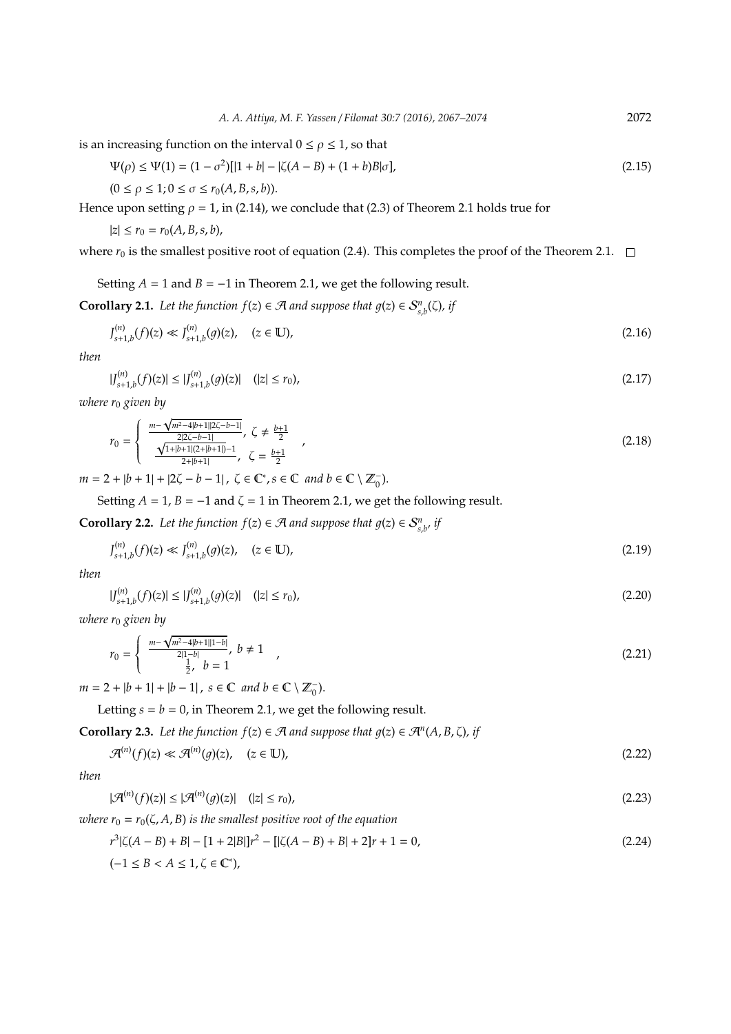is an increasing function on the interval  $0 \le \rho \le 1$ , so that

$$
\Psi(\rho) \le \Psi(1) = (1 - \sigma^2)[|1 + b| - |\zeta(A - B) + (1 + b)B|\sigma],\tag{2.15}
$$

$$
(0 \le \rho \le 1; 0 \le \sigma \le r_0(A, B, s, b)).
$$

Hence upon setting  $\rho = 1$ , in (2.14), we conclude that (2.3) of Theorem 2.1 holds true for

 $|z| \leq r_0 = r_0(A, B, s, b),$ 

where  $r_0$  is the smallest positive root of equation (2.4). This completes the proof of the Theorem 2.1.  $\Box$ 

Setting  $A = 1$  and  $B = -1$  in Theorem 2.1, we get the following result.

**Corollary 2.1.** *Let the function*  $f(z) \in \mathcal{A}$  *and suppose that*  $g(z) \in S_{s,b}^n(\zeta)$ *, if* 

$$
J_{s+1,b}^{(n)}(f)(z) \ll J_{s+1,b}^{(n)}(g)(z), \quad (z \in \mathbb{U}), \tag{2.16}
$$

*then*

$$
|J_{s+1,b}^{(n)}(f)(z)| \le |J_{s+1,b}^{(n)}(g)(z)| \quad (|z| \le r_0),
$$
\n(2.17)

*where r*<sup>0</sup> *given by*

$$
r_0 = \begin{cases} \frac{m - \sqrt{m^2 - 4|b + 1||2\zeta - b - 1|}}{2|2\zeta - b - 1|}, & \zeta \neq \frac{b + 1}{2} \\ \frac{\sqrt{1 + |b + 1|(2 + |b + 1|)} - 1}{2 + |b + 1|}, & \zeta = \frac{b + 1}{2} \end{cases}
$$
(2.18)

 $m = 2 + |b + 1| + |2\zeta - b - 1|, \ \zeta \in \mathbb{C}^*, s \in \mathbb{C} \ and \ b \in \mathbb{C} \setminus \mathbb{Z}_0^-$ .

Setting  $A = 1$ ,  $B = -1$  and  $\zeta = 1$  in Theorem 2.1, we get the following result.

**Corollary 2.2.** *Let the function*  $f(z) \in \mathcal{A}$  *and suppose that*  $g(z) \in S_{s,b}^n$ *, if* 

$$
J_{s+1,b}^{(n)}(f)(z) \ll J_{s+1,b}^{(n)}(g)(z), \quad (z \in \mathbb{U}), \tag{2.19}
$$

*then*

$$
|J_{s+1,b}^{(n)}(f)(z)| \le |J_{s+1,b}^{(n)}(g)(z)| \quad (|z| \le r_0), \tag{2.20}
$$

*where r*<sup>0</sup> *given by* √

$$
r_0 = \begin{cases} \frac{m - \sqrt{m^2 - 4|b + 1||1 - b|}}{2|1 - b|}, & b \neq 1 \\ \frac{1}{2}, & b = 1 \end{cases} (2.21)
$$

 $m = 2 + |b + 1| + |b - 1|$ ,  $s \in \mathbb{C}$  *and*  $b \in \mathbb{C} \setminus \mathbb{Z}_0^-$ .

Letting  $s = b = 0$ , in Theorem 2.1, we get the following result.

**Corollary 2.3.** *Let the function*  $f(z) \in \mathcal{A}$  *and suppose that*  $g(z) \in \mathcal{A}^n(A, B, \zeta)$ *, if* 

$$
\mathcal{A}^{(n)}(f)(z) \ll \mathcal{A}^{(n)}(g)(z), \quad (z \in \mathbb{U}), \tag{2.22}
$$

*then*

$$
|\mathcal{A}^{(n)}(f)(z)| \leq |\mathcal{A}^{(n)}(g)(z)| \quad (|z| \leq r_0),
$$
\n(2.23)

*where*  $r_0 = r_0(\zeta, A, B)$  *is the smallest positive root of the equation* 

$$
r^{3}|\zeta(A-B)+B| - [1+2|B|]r^{2} - [|\zeta(A-B)+B|+2]r+1 = 0,
$$
\n
$$
(-1 \le B < A \le 1, \zeta \in \mathbb{C}^{*}),
$$
\n(2.24)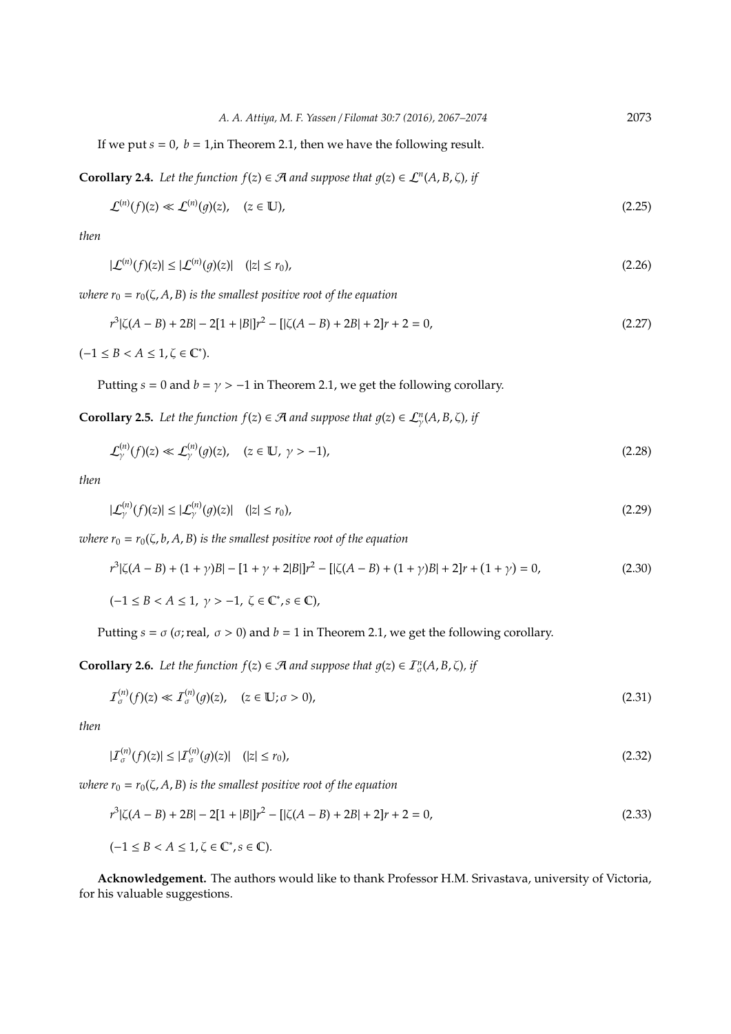*A. A. Attiya, M. F. Yassen* / *Filomat 30:7 (2016), 2067–2074* 2073

If we put  $s = 0$ ,  $b = 1$ , in Theorem 2.1, then we have the following result.

**Corollary 2.4.** *Let the function*  $f(z) \in \mathcal{A}$  *and suppose that*  $g(z) \in \mathcal{L}^n(A, B, \zeta)$ *, if* 

$$
\mathcal{L}^{(n)}(f)(z) \ll \mathcal{L}^{(n)}(g)(z), \quad (z \in \mathbb{U}), \tag{2.25}
$$

*then*

(*n*)

$$
|\mathcal{L}^{(n)}(f)(z)| \leq |\mathcal{L}^{(n)}(g)(z)| \quad (|z| \leq r_0),
$$
\n(2.26)

*where*  $r_0 = r_0(\zeta, A, B)$  *is the smallest positive root of the equation* 

$$
r^{3}|\zeta(A-B)+2B|-2[1+|B|]r^{2}-[|\zeta(A-B)+2B|+2]r+2=0,
$$
\n(2.27)

 $(-1 \leq B < A \leq 1, \zeta \in \mathbb{C}^*).$ 

Putting  $s = 0$  and  $b = \gamma > -1$  in Theorem 2.1, we get the following corollary.

**Corollary 2.5.** Let the function  $f(z) \in \mathcal{A}$  and suppose that  $g(z) \in \mathcal{L}_{\gamma}^{n}(A, B, \zeta)$ , if

$$
\mathcal{L}_{\gamma}^{(n)}(f)(z) \ll \mathcal{L}_{\gamma}^{(n)}(g)(z), \quad (z \in \mathbb{U}, \ \gamma > -1), \tag{2.28}
$$

*then*

$$
|\mathcal{L}_{\gamma}^{(n)}(f)(z)| \leq |\mathcal{L}_{\gamma}^{(n)}(g)(z)| \quad (|z| \leq r_0), \tag{2.29}
$$

*where*  $r_0 = r_0(\zeta, b, A, B)$  *is the smallest positive root of the equation* 

$$
r^{3}|\zeta(A-B)+(1+\gamma)B| - [1+\gamma+2|B|]r^{2} - [|\zeta(A-B)+(1+\gamma)B| + 2]r + (1+\gamma) = 0,
$$
\n(2.30)

 $(-1 \leq B < A \leq 1, \gamma > -1, \zeta \in \mathbb{C}^*, s \in \mathbb{C}$ ),

Putting  $s = \sigma$  ( $\sigma$ ; real,  $\sigma > 0$ ) and  $b = 1$  in Theorem 2.1, we get the following corollary.

**Corollary 2.6.** *Let the function*  $f(z) \in \mathcal{A}$  *and suppose that*  $g(z) \in \mathcal{I}_{\sigma}^{n}(A, B, \zeta)$ *, if* 

$$
I_{\sigma}^{(n)}(f)(z) \ll I_{\sigma}^{(n)}(g)(z), \quad (z \in \mathbb{U}; \sigma > 0), \tag{2.31}
$$

*then*

$$
|\mathcal{I}_{\sigma}^{(n)}(f)(z)| \leq |\mathcal{I}_{\sigma}^{(n)}(g)(z)| \quad (|z| \leq r_0),
$$
\n(2.32)

*where*  $r_0 = r_0(\zeta, A, B)$  *is the smallest positive root of the equation* 

$$
r^{3}|\zeta(A-B)+2B|-2[1+|B|]r^{2}-[|\zeta(A-B)+2B|+2]r+2=0,
$$
\n(2.33)

 $(-1 \leq B < A \leq 1, \zeta \in \mathbb{C}^*, s \in \mathbb{C}).$ 

**Acknowledgement.** The authors would like to thank Professor H.M. Srivastava, university of Victoria, for his valuable suggestions.